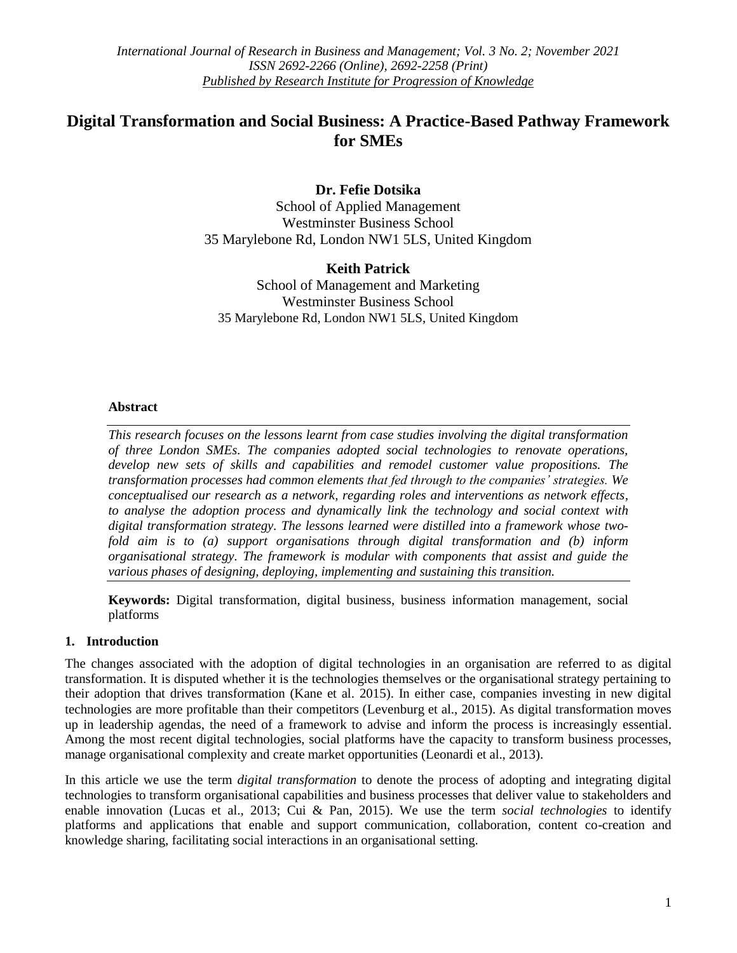# **Digital Transformation and Social Business: A Practice-Based Pathway Framework for SMEs**

# **Dr. Fefie Dotsika**

School of Applied Management Westminster Business School 35 Marylebone Rd, London NW1 5LS, United Kingdom

# **Keith Patrick**

School of Management and Marketing Westminster Business School 35 Marylebone Rd, London NW1 5LS, United Kingdom

# **Abstract**

*This research focuses on the lessons learnt from case studies involving the digital transformation of three London SMEs. The companies adopted social technologies to renovate operations, develop new sets of skills and capabilities and remodel customer value propositions. The transformation processes had common elements that fed through to the companies' strategies. We conceptualised our research as a network, regarding roles and interventions as network effects, to analyse the adoption process and dynamically link the technology and social context with digital transformation strategy. The lessons learned were distilled into a framework whose twofold aim is to (a) support organisations through digital transformation and (b) inform organisational strategy. The framework is modular with components that assist and guide the various phases of designing, deploying, implementing and sustaining this transition.*

**Keywords:** Digital transformation, digital business, business information management, social platforms

# **1. Introduction**

The changes associated with the adoption of digital technologies in an organisation are referred to as digital transformation. It is disputed whether it is the technologies themselves or the organisational strategy pertaining to their adoption that drives transformation (Kane et al. 2015). In either case, companies investing in new digital technologies are more profitable than their competitors (Levenburg et al., 2015). As digital transformation moves up in leadership agendas, the need of a framework to advise and inform the process is increasingly essential. Among the most recent digital technologies, social platforms have the capacity to transform business processes, manage organisational complexity and create market opportunities (Leonardi et al., 2013).

In this article we use the term *digital transformation* to denote the process of adopting and integrating digital technologies to transform organisational capabilities and business processes that deliver value to stakeholders and enable innovation (Lucas et al., 2013; Cui & Pan, 2015). We use the term *social technologies* to identify platforms and applications that enable and support communication, collaboration, content co-creation and knowledge sharing, facilitating social interactions in an organisational setting.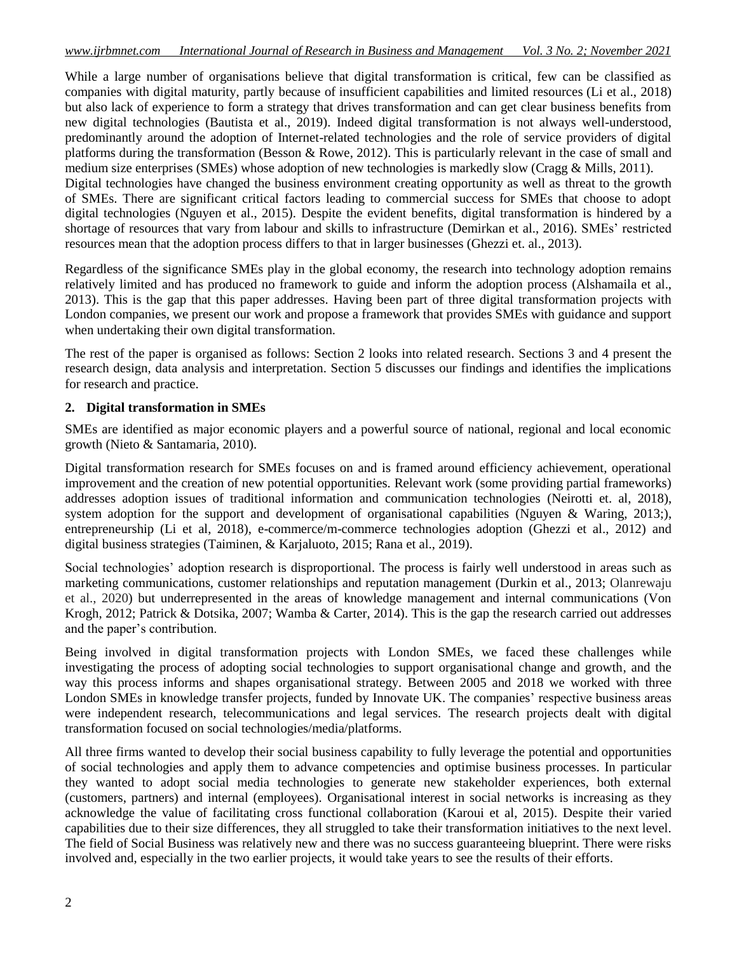While a large number of organisations believe that digital transformation is critical, few can be classified as companies with digital maturity, partly because of insufficient capabilities and limited resources (Li et al., 2018) but also lack of experience to form a strategy that drives transformation and can get clear business benefits from new digital technologies (Bautista et al., 2019). Indeed digital transformation is not always well-understood, predominantly around the adoption of Internet-related technologies and the role of service providers of digital platforms during the transformation (Besson & Rowe, 2012). This is particularly relevant in the case of small and medium size enterprises (SMEs) whose adoption of new technologies is markedly slow (Cragg & Mills, 2011). Digital technologies have changed the business environment creating opportunity as well as threat to the growth of SMEs. There are significant critical factors leading to commercial success for SMEs that choose to adopt digital technologies (Nguyen et al., 2015). Despite the evident benefits, digital transformation is hindered by a shortage of resources that vary from labour and skills to infrastructure (Demirkan et al., 2016). SMEs' restricted resources mean that the adoption process differs to that in larger businesses (Ghezzi et. al., 2013).

Regardless of the significance SMEs play in the global economy, the research into technology adoption remains relatively limited and has produced no framework to guide and inform the adoption process (Alshamaila et al., 2013). This is the gap that this paper addresses. Having been part of three digital transformation projects with London companies, we present our work and propose a framework that provides SMEs with guidance and support when undertaking their own digital transformation.

The rest of the paper is organised as follows: Section 2 looks into related research. Sections 3 and 4 present the research design, data analysis and interpretation. Section 5 discusses our findings and identifies the implications for research and practice.

# **2. Digital transformation in SMEs**

SMEs are identified as major economic players and a powerful source of national, regional and local economic growth (Nieto & Santamaria, 2010).

Digital transformation research for SMEs focuses on and is framed around efficiency achievement, operational improvement and the creation of new potential opportunities. Relevant work (some providing partial frameworks) addresses adoption issues of traditional information and communication technologies (Neirotti et. al, 2018), system adoption for the support and development of organisational capabilities (Nguyen & Waring, 2013;), entrepreneurship (Li et al, 2018), e-commerce/m-commerce technologies adoption (Ghezzi et al., 2012) and digital business strategies (Taiminen, & Karjaluoto, 2015; Rana et al., 2019).

Social technologies' adoption research is disproportional. The process is fairly well understood in areas such as marketing communications, customer relationships and reputation management (Durkin et al., 2013; Olanrewaju et al., 2020) but underrepresented in the areas of knowledge management and internal communications (Von Krogh, 2012; Patrick & Dotsika, 2007; Wamba & Carter, 2014). This is the gap the research carried out addresses and the paper's contribution.

Being involved in digital transformation projects with London SMEs, we faced these challenges while investigating the process of adopting social technologies to support organisational change and growth, and the way this process informs and shapes organisational strategy. Between 2005 and 2018 we worked with three London SMEs in knowledge transfer projects, funded by Innovate UK. The companies' respective business areas were independent research, telecommunications and legal services. The research projects dealt with digital transformation focused on social technologies/media/platforms.

All three firms wanted to develop their social business capability to fully leverage the potential and opportunities of social technologies and apply them to advance competencies and optimise business processes. In particular they wanted to adopt social media technologies to generate new stakeholder experiences, both external (customers, partners) and internal (employees). Organisational interest in social networks is increasing as they acknowledge the value of facilitating cross functional collaboration (Karoui et al, 2015). Despite their varied capabilities due to their size differences, they all struggled to take their transformation initiatives to the next level. The field of Social Business was relatively new and there was no success guaranteeing blueprint. There were risks involved and, especially in the two earlier projects, it would take years to see the results of their efforts.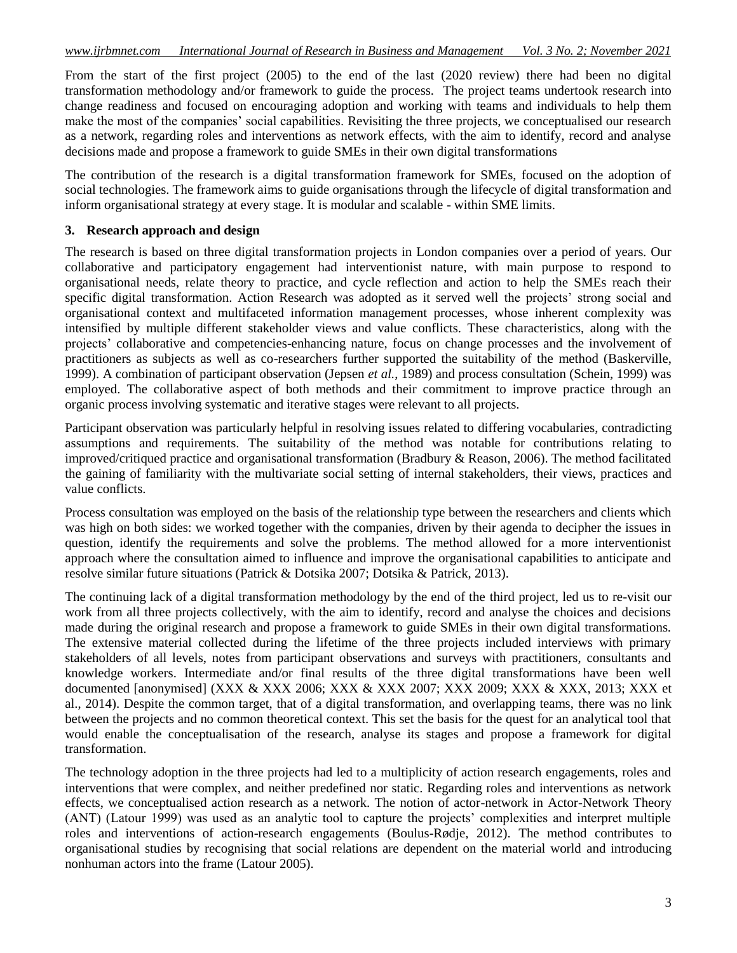From the start of the first project (2005) to the end of the last (2020 review) there had been no digital transformation methodology and/or framework to guide the process. The project teams undertook research into change readiness and focused on encouraging adoption and working with teams and individuals to help them make the most of the companies' social capabilities. Revisiting the three projects, we conceptualised our research as a network, regarding roles and interventions as network effects, with the aim to identify, record and analyse decisions made and propose a framework to guide SMEs in their own digital transformations

The contribution of the research is a digital transformation framework for SMEs, focused on the adoption of social technologies. The framework aims to guide organisations through the lifecycle of digital transformation and inform organisational strategy at every stage. It is modular and scalable - within SME limits.

#### **3. Research approach and design**

The research is based on three digital transformation projects in London companies over a period of years. Our collaborative and participatory engagement had interventionist nature, with main purpose to respond to organisational needs, relate theory to practice, and cycle reflection and action to help the SMEs reach their specific digital transformation. Action Research was adopted as it served well the projects' strong social and organisational context and multifaceted information management processes, whose inherent complexity was intensified by multiple different stakeholder views and value conflicts. These characteristics, along with the projects' collaborative and competencies-enhancing nature, focus on change processes and the involvement of practitioners as subjects as well as co-researchers further supported the suitability of the method (Baskerville, 1999). A combination of participant observation (Jepsen *et al.*, 1989) and process consultation (Schein, 1999) was employed. The collaborative aspect of both methods and their commitment to improve practice through an organic process involving systematic and iterative stages were relevant to all projects.

Participant observation was particularly helpful in resolving issues related to differing vocabularies, contradicting assumptions and requirements. The suitability of the method was notable for contributions relating to improved/critiqued practice and organisational transformation (Bradbury & Reason, 2006). The method facilitated the gaining of familiarity with the multivariate social setting of internal stakeholders, their views, practices and value conflicts.

Process consultation was employed on the basis of the relationship type between the researchers and clients which was high on both sides: we worked together with the companies, driven by their agenda to decipher the issues in question, identify the requirements and solve the problems. The method allowed for a more interventionist approach where the consultation aimed to influence and improve the organisational capabilities to anticipate and resolve similar future situations (Patrick & Dotsika 2007; Dotsika & Patrick, 2013).

The continuing lack of a digital transformation methodology by the end of the third project, led us to re-visit our work from all three projects collectively, with the aim to identify, record and analyse the choices and decisions made during the original research and propose a framework to guide SMEs in their own digital transformations. The extensive material collected during the lifetime of the three projects included interviews with primary stakeholders of all levels, notes from participant observations and surveys with practitioners, consultants and knowledge workers. Intermediate and/or final results of the three digital transformations have been well documented [anonymised] (XXX & XXX 2006; XXX & XXX 2007; XXX 2009; XXX & XXX, 2013; XXX et al., 2014). Despite the common target, that of a digital transformation, and overlapping teams, there was no link between the projects and no common theoretical context. This set the basis for the quest for an analytical tool that would enable the conceptualisation of the research, analyse its stages and propose a framework for digital transformation.

The technology adoption in the three projects had led to a multiplicity of action research engagements, roles and interventions that were complex, and neither predefined nor static. Regarding roles and interventions as network effects, we conceptualised action research as a network. The notion of actor-network in Actor-Network Theory (ANT) (Latour 1999) was used as an analytic tool to capture the projects' complexities and interpret multiple roles and interventions of action-research engagements (Boulus-Rødje, 2012). The method contributes to organisational studies by recognising that social relations are dependent on the material world and introducing nonhuman actors into the frame (Latour 2005).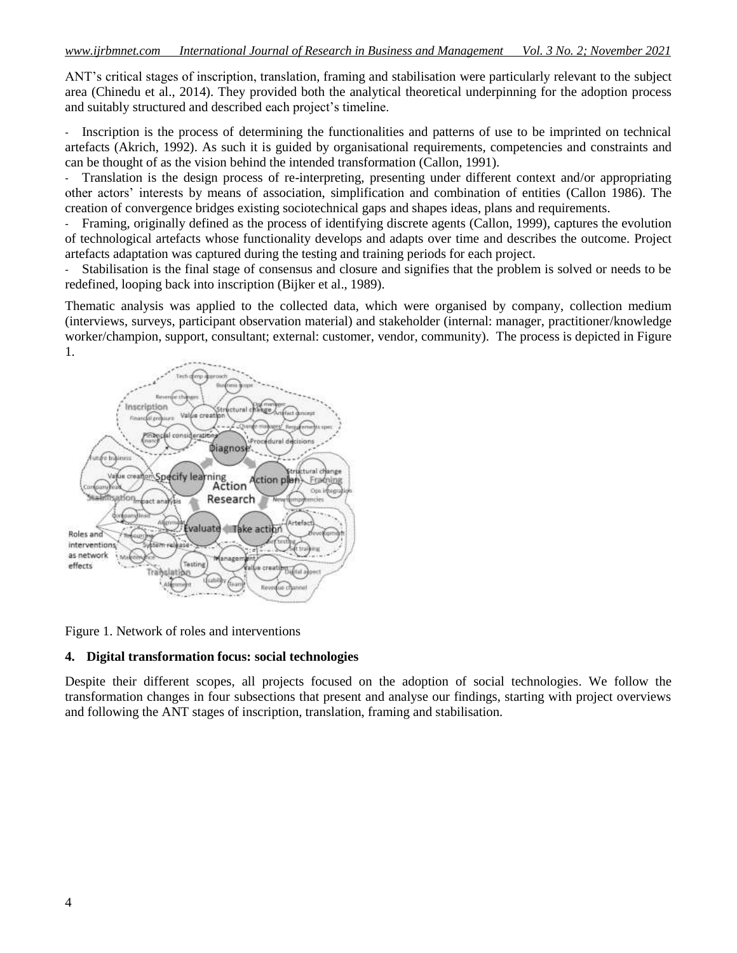ANT's critical stages of inscription, translation, framing and stabilisation were particularly relevant to the subject area (Chinedu et al., 2014). They provided both the analytical theoretical underpinning for the adoption process and suitably structured and described each project's timeline.

- Inscription is the process of determining the functionalities and patterns of use to be imprinted on technical artefacts (Akrich, 1992). As such it is guided by organisational requirements, competencies and constraints and can be thought of as the vision behind the intended transformation (Callon, 1991).

- Translation is the design process of re-interpreting, presenting under different context and/or appropriating other actors' interests by means of association, simplification and combination of entities (Callon 1986). The creation of convergence bridges existing sociotechnical gaps and shapes ideas, plans and requirements.

- Framing, originally defined as the process of identifying discrete agents (Callon, 1999), captures the evolution of technological artefacts whose functionality develops and adapts over time and describes the outcome. Project artefacts adaptation was captured during the testing and training periods for each project.

- Stabilisation is the final stage of consensus and closure and signifies that the problem is solved or needs to be redefined, looping back into inscription (Bijker et al., 1989).

Thematic analysis was applied to the collected data, which were organised by company, collection medium (interviews, surveys, participant observation material) and stakeholder (internal: manager, practitioner/knowledge worker/champion, support, consultant; external: customer, vendor, community). The process is depicted in Figure 1.



Figure 1. Network of roles and interventions

#### **4. Digital transformation focus: social technologies**

Despite their different scopes, all projects focused on the adoption of social technologies. We follow the transformation changes in four subsections that present and analyse our findings, starting with project overviews and following the ANT stages of inscription, translation, framing and stabilisation.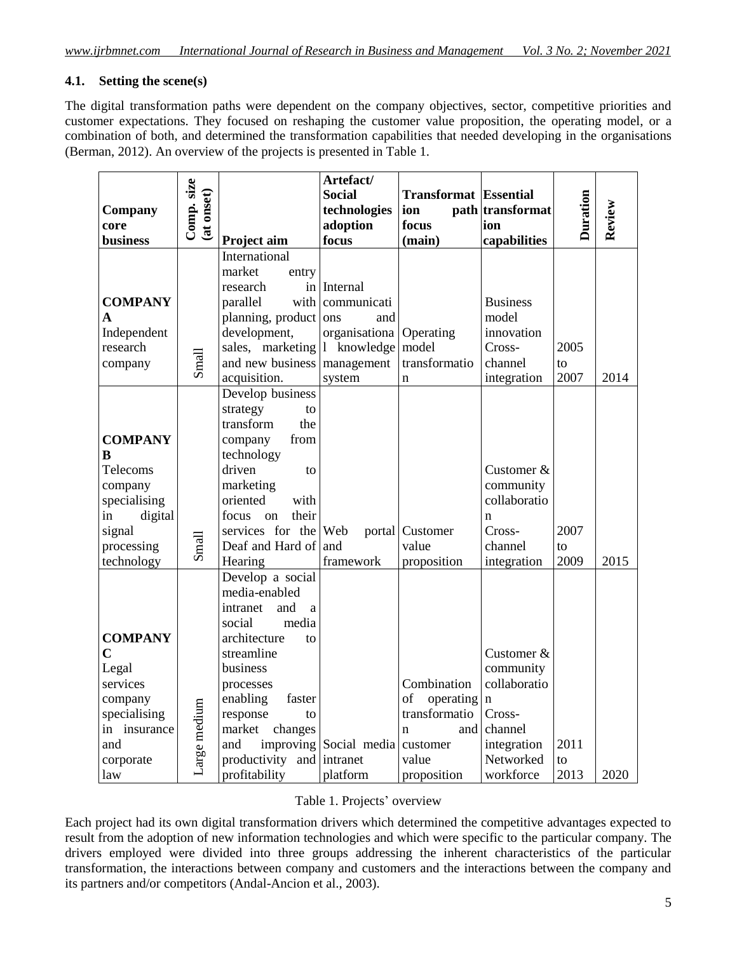# **4.1. Setting the scene(s)**

The digital transformation paths were dependent on the company objectives, sector, competitive priorities and customer expectations. They focused on reshaping the customer value proposition, the operating model, or a combination of both, and determined the transformation capabilities that needed developing in the organisations (Berman, 2012). An overview of the projects is presented in Table 1.

|                 |              |                                 | Artefact/                       |                              |                  |                 |        |
|-----------------|--------------|---------------------------------|---------------------------------|------------------------------|------------------|-----------------|--------|
|                 | Comp. size   |                                 | <b>Social</b>                   | <b>Transformat</b> Essential |                  |                 |        |
| Company         | (at onset)   |                                 | technologies                    | ion                          | path transformat | <b>Duration</b> | Review |
| core            |              |                                 | adoption                        | focus                        | ion              |                 |        |
| <b>business</b> |              | Project aim                     | focus                           | (main)                       | capabilities     |                 |        |
|                 |              | International                   |                                 |                              |                  |                 |        |
|                 |              | market<br>entry                 |                                 |                              |                  |                 |        |
|                 |              | research                        | in Internal                     |                              |                  |                 |        |
| <b>COMPANY</b>  |              | parallel                        | with communicati                |                              | <b>Business</b>  |                 |        |
| A               |              | planning, product ons           | and                             |                              | model            |                 |        |
| Independent     |              | development,                    | organisationa Operating         |                              | innovation       |                 |        |
| research        |              | sales, marketing 1              | knowledge                       | model                        | Cross-           | 2005            |        |
| company         | Small        | and new business                | management                      | transformatio                | channel          | to              |        |
|                 |              | acquisition.                    | system                          | $\mathbf n$                  | integration      | 2007            | 2014   |
|                 |              | Develop business                |                                 |                              |                  |                 |        |
|                 |              | strategy<br>to                  |                                 |                              |                  |                 |        |
|                 |              | transform<br>the                |                                 |                              |                  |                 |        |
| <b>COMPANY</b>  |              | from<br>company                 |                                 |                              |                  |                 |        |
| B               |              | technology                      |                                 |                              |                  |                 |        |
| Telecoms        |              | driven<br>to                    |                                 |                              | Customer &       |                 |        |
| company         |              | marketing                       |                                 |                              | community        |                 |        |
| specialising    |              | oriented<br>with                |                                 |                              | collaboratio     |                 |        |
| digital<br>in   |              | their<br>focus<br><sub>on</sub> |                                 |                              | n                |                 |        |
| signal          |              | services for the Web            |                                 | portal Customer              | Cross-           | 2007            |        |
| processing      | Small        | Deaf and Hard of and            |                                 | value                        | channel          | to              |        |
| technology      |              | Hearing                         | framework                       | proposition                  | integration      | 2009            | 2015   |
|                 |              | Develop a social                |                                 |                              |                  |                 |        |
|                 |              | media-enabled                   |                                 |                              |                  |                 |        |
|                 |              | intranet<br>and<br>a            |                                 |                              |                  |                 |        |
|                 |              | media<br>social                 |                                 |                              |                  |                 |        |
| <b>COMPANY</b>  |              | architecture<br>to              |                                 |                              |                  |                 |        |
| $\mathbf C$     |              | streamline                      |                                 |                              | Customer &       |                 |        |
| Legal           |              | business                        |                                 |                              | community        |                 |        |
| services        |              | processes                       |                                 | Combination                  | collaboratio     |                 |        |
| company         |              | enabling<br>faster              |                                 | of<br>operating              | $\mathbf n$      |                 |        |
| specialising    | Large medium | response<br>to                  |                                 | transformatio                | Cross-           |                 |        |
| in insurance    |              | market<br>changes               |                                 | $\mathbf n$<br>and           | channel          |                 |        |
| and             |              | and                             | improving Social media customer |                              | integration      | 2011            |        |
| corporate       |              | productivity<br>and             | intranet                        | value                        | Networked        | to              |        |
| law             |              | profitability                   | platform                        | proposition                  | workforce        | 2013            | 2020   |

Table 1. Projects' overview

Each project had its own digital transformation drivers which determined the competitive advantages expected to result from the adoption of new information technologies and which were specific to the particular company. The drivers employed were divided into three groups addressing the inherent characteristics of the particular transformation, the interactions between company and customers and the interactions between the company and its partners and/or competitors (Andal-Ancion et al., 2003).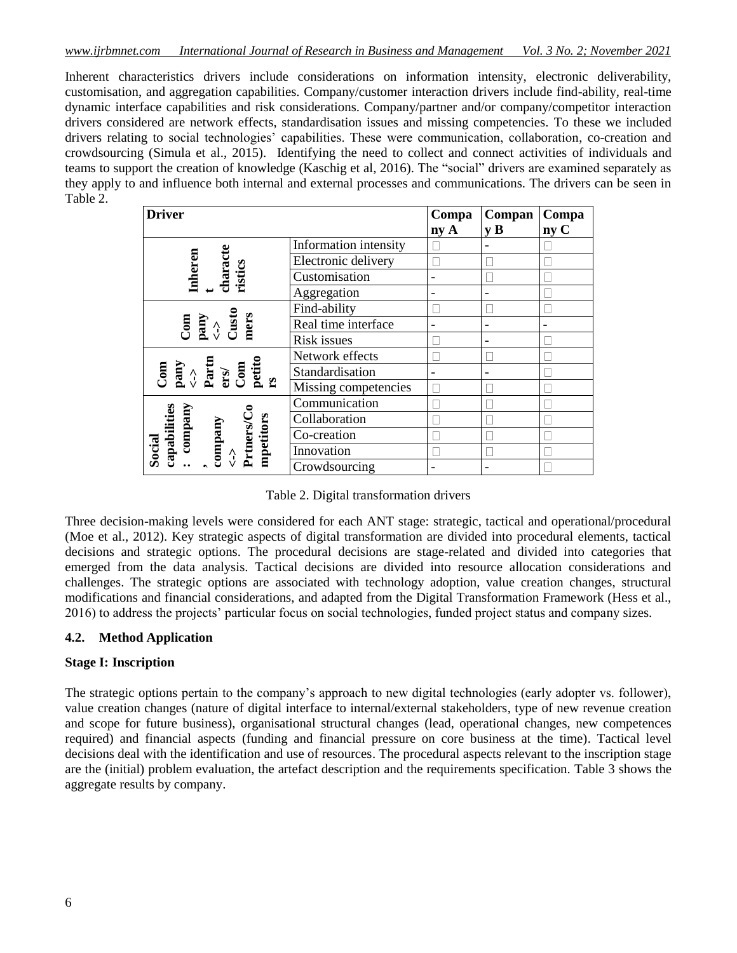Inherent characteristics drivers include considerations on information intensity, electronic deliverability, customisation, and aggregation capabilities. Company/customer interaction drivers include find-ability, real-time dynamic interface capabilities and risk considerations. Company/partner and/or company/competitor interaction drivers considered are network effects, standardisation issues and missing competencies. To these we included drivers relating to social technologies' capabilities. These were communication, collaboration, co-creation and crowdsourcing (Simula et al., 2015). Identifying the need to collect and connect activities of individuals and teams to support the creation of knowledge (Kaschig et al, 2016). The "social" drivers are examined separately as they apply to and influence both internal and external processes and communications. The drivers can be seen in Table 2.

| <b>Driver</b>                                                                                                                                                                               | Compa                 | Compan | Compa                   |      |
|---------------------------------------------------------------------------------------------------------------------------------------------------------------------------------------------|-----------------------|--------|-------------------------|------|
|                                                                                                                                                                                             |                       | ny A   | $\mathbf{v} \mathbf{B}$ | ny C |
|                                                                                                                                                                                             | Information intensity |        |                         |      |
|                                                                                                                                                                                             | Electronic delivery   |        |                         |      |
| characte<br><b>Inheren</b><br>ristics                                                                                                                                                       | Customisation         | -      |                         |      |
|                                                                                                                                                                                             | Aggregation           | -      |                         |      |
|                                                                                                                                                                                             | Find-ability          |        |                         |      |
| $\begin{array}{c} \textrm{Com} \\ \textrm{pany} \\ \textrm{Cust} \end{array}$<br>mers                                                                                                       | Real time interface   | -      |                         |      |
|                                                                                                                                                                                             | <b>Risk issues</b>    |        |                         |      |
|                                                                                                                                                                                             | Network effects       |        |                         |      |
| $\begin{array}{l} \mathop{\rm pany}\limits_{<\text{-}>\\ \mathop{\rm Patti}\limits_{\rm ccof} \\ \mathop{\rm Com}\limits_{\rm pt} \\ \mathop{\rm petti}\limits_{\rm rs} \end{array}$<br>Com | Standardisation       |        |                         |      |
|                                                                                                                                                                                             | Missing competencies  |        |                         |      |
|                                                                                                                                                                                             | Communication         |        |                         |      |
|                                                                                                                                                                                             | Collaboration         |        |                         |      |
| company<br>capabilities<br>Prtners/Co<br>mpetitors<br>company                                                                                                                               | Co-creation           |        |                         |      |
| Social<br>$\hat{S}$                                                                                                                                                                         | Innovation            |        |                         |      |
|                                                                                                                                                                                             | Crowdsourcing         |        |                         |      |

Table 2. Digital transformation drivers

Three decision-making levels were considered for each ANT stage: strategic, tactical and operational/procedural (Moe et al., 2012). Key strategic aspects of digital transformation are divided into procedural elements, tactical decisions and strategic options. The procedural decisions are stage-related and divided into categories that emerged from the data analysis. Tactical decisions are divided into resource allocation considerations and challenges. The strategic options are associated with technology adoption, value creation changes, structural modifications and financial considerations, and adapted from the Digital Transformation Framework (Hess et al., 2016) to address the projects' particular focus on social technologies, funded project status and company sizes.

# **4.2. Method Application**

# **Stage I: Inscription**

The strategic options pertain to the company's approach to new digital technologies (early adopter vs. follower), value creation changes (nature of digital interface to internal/external stakeholders, type of new revenue creation and scope for future business), organisational structural changes (lead, operational changes, new competences required) and financial aspects (funding and financial pressure on core business at the time). Tactical level decisions deal with the identification and use of resources. The procedural aspects relevant to the inscription stage are the (initial) problem evaluation, the artefact description and the requirements specification. Table 3 shows the aggregate results by company.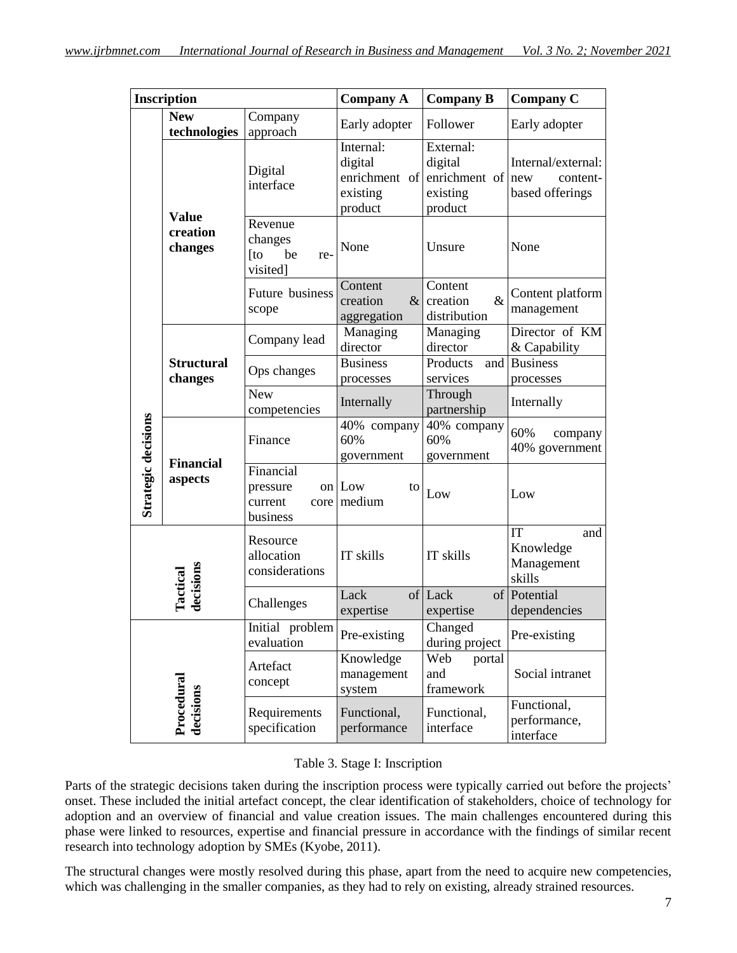| <b>Inscription</b>                                     |                                     | <b>Company A</b>                                      | <b>Company B</b>                                             | <b>Company C</b>                                                         |                                                   |
|--------------------------------------------------------|-------------------------------------|-------------------------------------------------------|--------------------------------------------------------------|--------------------------------------------------------------------------|---------------------------------------------------|
|                                                        | <b>New</b><br>technologies          | Company<br>approach                                   | Early adopter                                                | Follower                                                                 | Early adopter                                     |
|                                                        |                                     | Digital<br>interface                                  | Internal:<br>digital<br>enrichment of<br>existing<br>product | External:<br>digital<br>enrichment of $\vert$ new<br>existing<br>product | Internal/external:<br>content-<br>based offerings |
|                                                        | <b>Value</b><br>creation<br>changes | Revenue<br>changes<br>be<br>$[$ to<br>re-<br>visited] | None                                                         | Unsure                                                                   | None                                              |
|                                                        |                                     | Future business<br>scope                              | Content<br>$\&$<br>creation<br>aggregation                   | Content<br>$\&$<br>creation<br>distribution                              | Content platform<br>management                    |
|                                                        |                                     | Company lead                                          | Managing<br>director                                         | Managing<br>director                                                     | Director of KM<br>& Capability                    |
| Strategic decisions                                    | <b>Structural</b><br>changes        | Ops changes                                           | <b>Business</b><br>processes                                 | Products<br>and<br>services                                              | <b>Business</b><br>processes                      |
|                                                        |                                     | New<br>competencies                                   | Internally                                                   | Through<br>partnership                                                   | Internally                                        |
|                                                        | <b>Financial</b><br>aspects         | Finance                                               | 40% company<br>60%<br>government                             | 40% company<br>60%<br>government                                         | 60%<br>company<br>40% government                  |
|                                                        |                                     | Financial<br>pressure<br>current<br>business          | on Low<br>to<br>core medium                                  | Low                                                                      | Low                                               |
| <b>Tactical</b><br>decisions<br>Procedura<br>decisions |                                     | Resource<br>allocation<br>considerations              | IT skills                                                    | IT skills                                                                | IT<br>and<br>Knowledge<br>Management<br>skills    |
|                                                        |                                     | Challenges                                            | Lack<br>expertise                                            | of Lack<br>of<br>expertise                                               | Potential<br>dependencies                         |
|                                                        |                                     | Initial problem<br>evaluation                         | Pre-existing                                                 | Changed<br>during project                                                | Pre-existing                                      |
|                                                        |                                     | Artefact<br>concept                                   | Knowledge<br>management<br>system                            | Web<br>portal<br>and<br>framework                                        | Social intranet                                   |
|                                                        |                                     | Requirements<br>specification                         | Functional,<br>performance                                   | Functional,<br>interface                                                 | Functional,<br>performance,<br>interface          |

Table 3. Stage I: Inscription

Parts of the strategic decisions taken during the inscription process were typically carried out before the projects' onset. These included the initial artefact concept, the clear identification of stakeholders, choice of technology for adoption and an overview of financial and value creation issues. The main challenges encountered during this phase were linked to resources, expertise and financial pressure in accordance with the findings of similar recent research into technology adoption by SMEs (Kyobe, 2011).

The structural changes were mostly resolved during this phase, apart from the need to acquire new competencies, which was challenging in the smaller companies, as they had to rely on existing, already strained resources.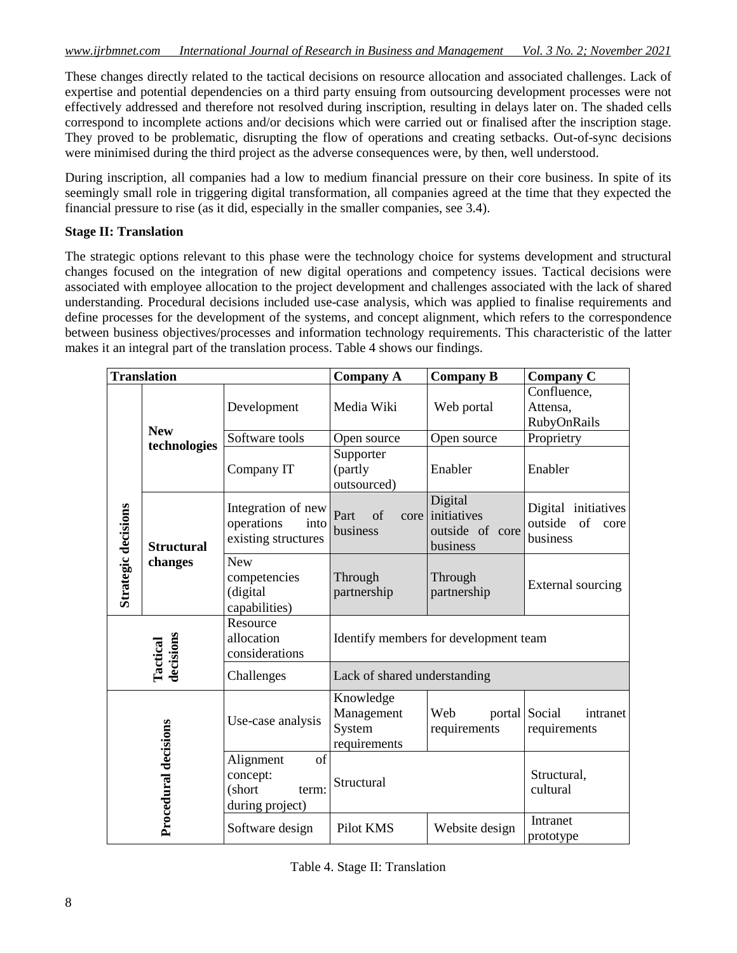These changes directly related to the tactical decisions on resource allocation and associated challenges. Lack of expertise and potential dependencies on a third party ensuing from outsourcing development processes were not effectively addressed and therefore not resolved during inscription, resulting in delays later on. The shaded cells correspond to incomplete actions and/or decisions which were carried out or finalised after the inscription stage. They proved to be problematic, disrupting the flow of operations and creating setbacks. Out-of-sync decisions were minimised during the third project as the adverse consequences were, by then, well understood.

During inscription, all companies had a low to medium financial pressure on their core business. In spite of its seemingly small role in triggering digital transformation, all companies agreed at the time that they expected the financial pressure to rise (as it did, especially in the smaller companies, see 3.4).

#### **Stage II: Translation**

The strategic options relevant to this phase were the technology choice for systems development and structural changes focused on the integration of new digital operations and competency issues. Tactical decisions were associated with employee allocation to the project development and challenges associated with the lack of shared understanding. Procedural decisions included use-case analysis, which was applied to finalise requirements and define processes for the development of the systems, and concept alignment, which refers to the correspondence between business objectives/processes and information technology requirements. This characteristic of the latter makes it an integral part of the translation process. Table 4 shows our findings.

|                              | <b>Translation</b>           |                                                                   | <b>Company A</b>                                  | <b>Company B</b>                                           | <b>Company C</b>                                         |  |
|------------------------------|------------------------------|-------------------------------------------------------------------|---------------------------------------------------|------------------------------------------------------------|----------------------------------------------------------|--|
| Strategic decisions          | <b>New</b><br>technologies   | Development                                                       | Media Wiki                                        | Web portal                                                 | Confluence,<br>Attensa,<br>RubyOnRails                   |  |
|                              |                              | Software tools                                                    | Open source<br>Open source                        |                                                            | Proprietry                                               |  |
|                              |                              | Company IT                                                        | Supporter<br>(partly<br>outsourced)               | Enabler                                                    | Enabler                                                  |  |
|                              | <b>Structural</b><br>changes | Integration of new<br>operations<br>into<br>existing structures   | Part<br>of<br>business                            | Digital<br>core initiatives<br>outside of core<br>business | Digital initiatives<br>outside<br>of<br>core<br>business |  |
|                              |                              | <b>New</b><br>competencies<br>(digital<br>capabilities)           | Through<br>partnership                            | Through<br>partnership                                     | External sourcing                                        |  |
| <b>Tactical</b><br>decisions |                              | Resource<br>allocation<br>considerations                          | Identify members for development team             |                                                            |                                                          |  |
|                              |                              | Challenges                                                        | Lack of shared understanding                      |                                                            |                                                          |  |
| Procedural decisions         |                              | Use-case analysis                                                 | Knowledge<br>Management<br>System<br>requirements | Web<br>requirements                                        | portal Social<br>intranet<br>requirements                |  |
|                              |                              | of<br>Alignment<br>concept:<br>(short<br>term:<br>during project) | Structural                                        |                                                            | Structural,<br>cultural                                  |  |
|                              |                              | Software design                                                   | Pilot KMS                                         | Website design                                             | Intranet<br>prototype                                    |  |

|  |  |  | Table 4. Stage II: Translation |
|--|--|--|--------------------------------|
|--|--|--|--------------------------------|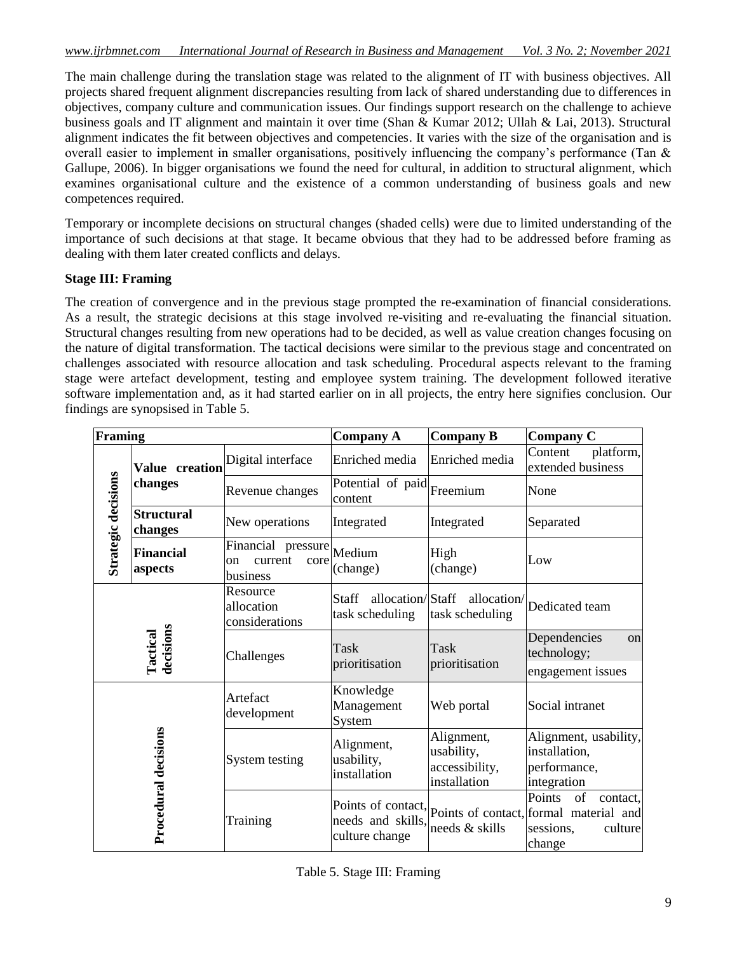The main challenge during the translation stage was related to the alignment of IT with business objectives. All projects shared frequent alignment discrepancies resulting from lack of shared understanding due to differences in objectives, company culture and communication issues. Our findings support research on the challenge to achieve business goals and IT alignment and maintain it over time (Shan & Kumar 2012; Ullah & Lai, 2013). Structural alignment indicates the fit between objectives and competencies. It varies with the size of the organisation and is overall easier to implement in smaller organisations, positively influencing the company's performance (Tan & Gallupe, 2006). In bigger organisations we found the need for cultural, in addition to structural alignment, which examines organisational culture and the existence of a common understanding of business goals and new competences required.

Temporary or incomplete decisions on structural changes (shaded cells) were due to limited understanding of the importance of such decisions at that stage. It became obvious that they had to be addressed before framing as dealing with them later created conflicts and delays.

# **Stage III: Framing**

The creation of convergence and in the previous stage prompted the re-examination of financial considerations. As a result, the strategic decisions at this stage involved re-visiting and re-evaluating the financial situation. Structural changes resulting from new operations had to be decided, as well as value creation changes focusing on the nature of digital transformation. The tactical decisions were similar to the previous stage and concentrated on challenges associated with resource allocation and task scheduling. Procedural aspects relevant to the framing stage were artefact development, testing and employee system training. The development followed iterative software implementation and, as it had started earlier on in all projects, the entry here signifies conclusion. Our findings are synopsised in Table 5.

| Framing               |                              |                                                         | <b>Company A</b>                                    | <b>Company B</b>                                           | <b>Company C</b>                                                                                                        |
|-----------------------|------------------------------|---------------------------------------------------------|-----------------------------------------------------|------------------------------------------------------------|-------------------------------------------------------------------------------------------------------------------------|
| Strategic decisions   | Value creation               | Digital interface                                       | Enriched media                                      | Enriched media                                             | platform,<br>Content<br>extended business                                                                               |
|                       | changes                      | Revenue changes                                         | Potential of paid Freemium<br>content               |                                                            | None                                                                                                                    |
|                       | <b>Structural</b><br>changes | New operations                                          | Integrated                                          | Integrated                                                 | Separated                                                                                                               |
|                       | <b>Financial</b><br>aspects  | Financial pressure<br>current<br>core<br>on<br>business | Medium<br>(change)                                  | High<br>(change)                                           | Low                                                                                                                     |
| decisions<br>Tactical |                              | Resource<br>allocation<br>considerations                | allocation/Staff<br><b>Staff</b><br>task scheduling | allocation/<br>task scheduling                             | Dedicated team                                                                                                          |
|                       |                              | Challenges                                              | Task<br>prioritisation                              | Task<br>prioritisation                                     | Dependencies<br>on<br>technology;<br>engagement issues                                                                  |
| Procedural decisions  |                              | Artefact<br>development                                 | Knowledge<br>Management<br>System                   | Web portal                                                 | Social intranet                                                                                                         |
|                       |                              | System testing                                          | Alignment,<br>usability,<br>installation            | Alignment,<br>usability,<br>accessibility,<br>installation | Alignment, usability,<br>installation,<br>performance,<br>integration                                                   |
|                       |                              | Training                                                | needs and skills,<br>culture change                 | needs & skills                                             | Points<br>of<br>contact.<br>Points of contact, points of contact, formal material and<br>sessions.<br>culture<br>change |

Table 5. Stage III: Framing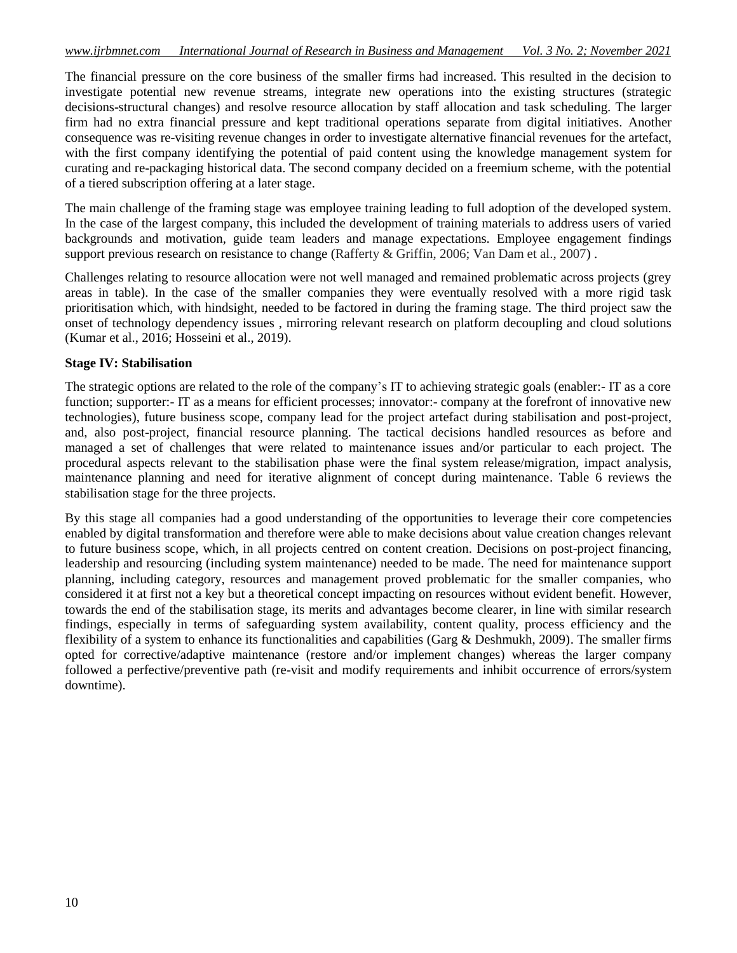The financial pressure on the core business of the smaller firms had increased. This resulted in the decision to investigate potential new revenue streams, integrate new operations into the existing structures (strategic decisions-structural changes) and resolve resource allocation by staff allocation and task scheduling. The larger firm had no extra financial pressure and kept traditional operations separate from digital initiatives. Another consequence was re-visiting revenue changes in order to investigate alternative financial revenues for the artefact, with the first company identifying the potential of paid content using the knowledge management system for curating and re-packaging historical data. The second company decided on a freemium scheme, with the potential of a tiered subscription offering at a later stage.

The main challenge of the framing stage was employee training leading to full adoption of the developed system. In the case of the largest company, this included the development of training materials to address users of varied backgrounds and motivation, guide team leaders and manage expectations. Employee engagement findings support previous research on resistance to change (Rafferty & Griffin, 2006; Van Dam et al., 2007).

Challenges relating to resource allocation were not well managed and remained problematic across projects (grey areas in table). In the case of the smaller companies they were eventually resolved with a more rigid task prioritisation which, with hindsight, needed to be factored in during the framing stage. The third project saw the onset of technology dependency issues , mirroring relevant research on platform decoupling and cloud solutions (Kumar et al., 2016; Hosseini et al., 2019).

#### **Stage IV: Stabilisation**

The strategic options are related to the role of the company's IT to achieving strategic goals (enabler:- IT as a core function; supporter:- IT as a means for efficient processes; innovator:- company at the forefront of innovative new technologies), future business scope, company lead for the project artefact during stabilisation and post-project, and, also post-project, financial resource planning. The tactical decisions handled resources as before and managed a set of challenges that were related to maintenance issues and/or particular to each project. The procedural aspects relevant to the stabilisation phase were the final system release/migration, impact analysis, maintenance planning and need for iterative alignment of concept during maintenance. Table 6 reviews the stabilisation stage for the three projects.

By this stage all companies had a good understanding of the opportunities to leverage their core competencies enabled by digital transformation and therefore were able to make decisions about value creation changes relevant to future business scope, which, in all projects centred on content creation. Decisions on post-project financing, leadership and resourcing (including system maintenance) needed to be made. The need for maintenance support planning, including category, resources and management proved problematic for the smaller companies, who considered it at first not a key but a theoretical concept impacting on resources without evident benefit. However, towards the end of the stabilisation stage, its merits and advantages become clearer, in line with similar research findings, especially in terms of safeguarding system availability, content quality, process efficiency and the flexibility of a system to enhance its functionalities and capabilities (Garg & Deshmukh, 2009). The smaller firms opted for corrective/adaptive maintenance (restore and/or implement changes) whereas the larger company followed a perfective/preventive path (re-visit and modify requirements and inhibit occurrence of errors/system downtime).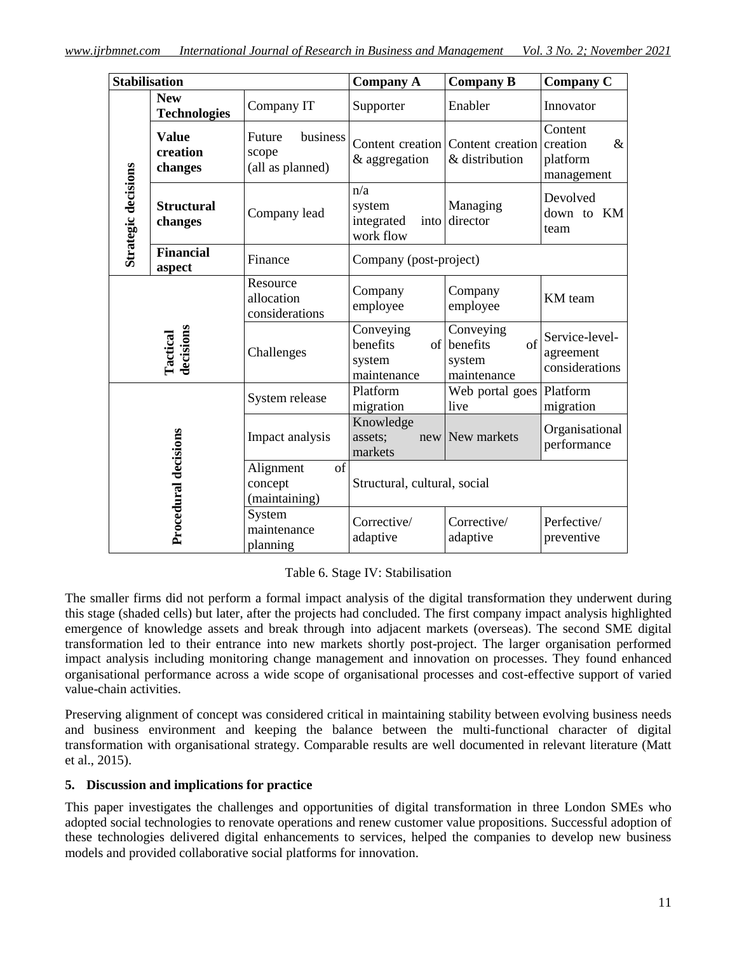| <b>Stabilisation</b> |                                     |                                                 | <b>Company A</b>                                 | <b>Company B</b>                                        | <b>Company C</b>                                      |
|----------------------|-------------------------------------|-------------------------------------------------|--------------------------------------------------|---------------------------------------------------------|-------------------------------------------------------|
|                      | <b>New</b><br><b>Technologies</b>   | Company IT                                      | Supporter                                        | Enabler                                                 | Innovator                                             |
| Strategic decisions  | <b>Value</b><br>creation<br>changes | business<br>Future<br>scope<br>(all as planned) | & aggregation                                    | Content creation Content creation<br>& distribution     | Content<br>creation<br>$\&$<br>platform<br>management |
|                      | <b>Structural</b><br>changes        | Company lead                                    | n/a<br>system<br>integrated<br>into<br>work flow | Managing<br>director                                    | Devolved<br>down to KM<br>team                        |
|                      | <b>Financial</b><br>aspect          | Finance                                         | Company (post-project)                           |                                                         |                                                       |
|                      |                                     | Resource<br>allocation<br>considerations        | Company<br>employee                              | Company<br>employee                                     | KM team                                               |
|                      | decisions<br><b>Tactical</b>        | Challenges                                      | Conveying<br>benefits<br>system<br>maintenance   | Conveying<br>of<br>of benefits<br>system<br>maintenance | Service-level-<br>agreement<br>considerations         |
|                      |                                     | System release                                  | Platform<br>migration                            | Web portal goes<br>live                                 | Platform<br>migration                                 |
| Procedural decisions |                                     | Impact analysis                                 | Knowledge<br>assets;<br>new<br>markets           | New markets                                             | Organisational<br>performance                         |
|                      |                                     | of<br>Alignment<br>concept<br>(maintaining)     | Structural, cultural, social                     |                                                         |                                                       |
|                      |                                     | System<br>maintenance<br>planning               | Corrective/<br>adaptive                          | Corrective/<br>adaptive                                 | Perfective/<br>preventive                             |

Table 6. Stage IV: Stabilisation

The smaller firms did not perform a formal impact analysis of the digital transformation they underwent during this stage (shaded cells) but later, after the projects had concluded. The first company impact analysis highlighted emergence of knowledge assets and break through into adjacent markets (overseas). The second SME digital transformation led to their entrance into new markets shortly post-project. The larger organisation performed impact analysis including monitoring change management and innovation on processes. They found enhanced organisational performance across a wide scope of organisational processes and cost-effective support of varied value-chain activities.

Preserving alignment of concept was considered critical in maintaining stability between evolving business needs and business environment and keeping the balance between the multi-functional character of digital transformation with organisational strategy. Comparable results are well documented in relevant literature (Matt et al., 2015).

# **5. Discussion and implications for practice**

This paper investigates the challenges and opportunities of digital transformation in three London SMEs who adopted social technologies to renovate operations and renew customer value propositions. Successful adoption of these technologies delivered digital enhancements to services, helped the companies to develop new business models and provided collaborative social platforms for innovation.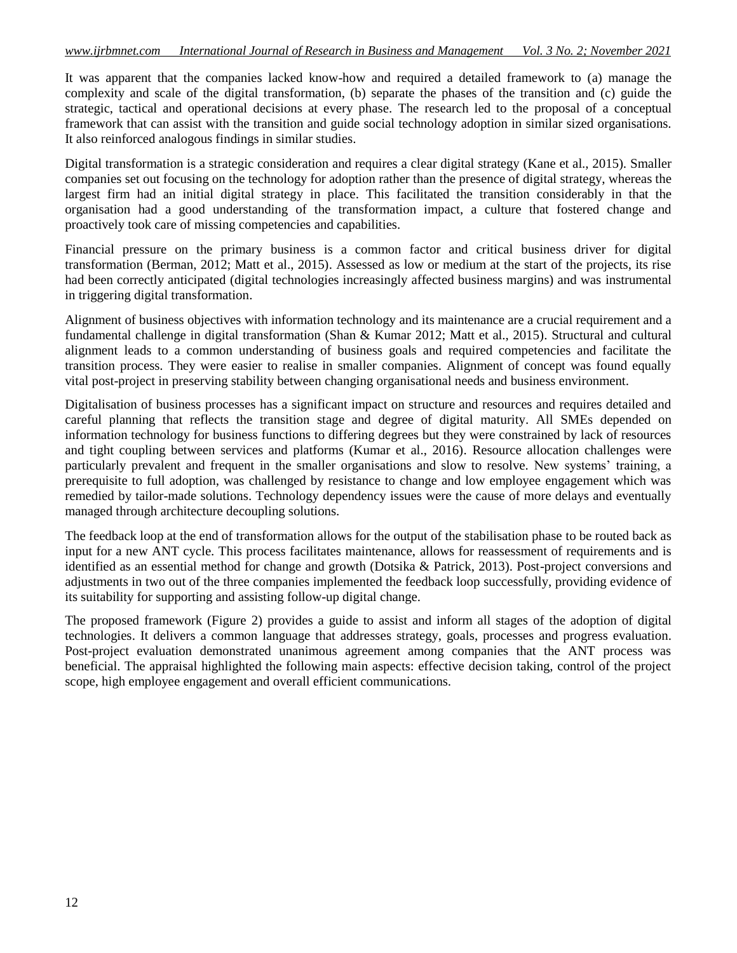It was apparent that the companies lacked know-how and required a detailed framework to (a) manage the complexity and scale of the digital transformation, (b) separate the phases of the transition and (c) guide the strategic, tactical and operational decisions at every phase. The research led to the proposal of a conceptual framework that can assist with the transition and guide social technology adoption in similar sized organisations. It also reinforced analogous findings in similar studies.

Digital transformation is a strategic consideration and requires a clear digital strategy (Kane et al., 2015). Smaller companies set out focusing on the technology for adoption rather than the presence of digital strategy, whereas the largest firm had an initial digital strategy in place. This facilitated the transition considerably in that the organisation had a good understanding of the transformation impact, a culture that fostered change and proactively took care of missing competencies and capabilities.

Financial pressure on the primary business is a common factor and critical business driver for digital transformation (Berman, 2012; Matt et al., 2015). Assessed as low or medium at the start of the projects, its rise had been correctly anticipated (digital technologies increasingly affected business margins) and was instrumental in triggering digital transformation.

Alignment of business objectives with information technology and its maintenance are a crucial requirement and a fundamental challenge in digital transformation (Shan & Kumar 2012; Matt et al., 2015). Structural and cultural alignment leads to a common understanding of business goals and required competencies and facilitate the transition process. They were easier to realise in smaller companies. Alignment of concept was found equally vital post-project in preserving stability between changing organisational needs and business environment.

Digitalisation of business processes has a significant impact on structure and resources and requires detailed and careful planning that reflects the transition stage and degree of digital maturity. All SMEs depended on information technology for business functions to differing degrees but they were constrained by lack of resources and tight coupling between services and platforms (Kumar et al., 2016). Resource allocation challenges were particularly prevalent and frequent in the smaller organisations and slow to resolve. New systems' training, a prerequisite to full adoption, was challenged by resistance to change and low employee engagement which was remedied by tailor-made solutions. Technology dependency issues were the cause of more delays and eventually managed through architecture decoupling solutions.

The feedback loop at the end of transformation allows for the output of the stabilisation phase to be routed back as input for a new ANT cycle. This process facilitates maintenance, allows for reassessment of requirements and is identified as an essential method for change and growth (Dotsika & Patrick, 2013). Post-project conversions and adjustments in two out of the three companies implemented the feedback loop successfully, providing evidence of its suitability for supporting and assisting follow-up digital change.

The proposed framework (Figure 2) provides a guide to assist and inform all stages of the adoption of digital technologies. It delivers a common language that addresses strategy, goals, processes and progress evaluation. Post-project evaluation demonstrated unanimous agreement among companies that the ANT process was beneficial. The appraisal highlighted the following main aspects: effective decision taking, control of the project scope, high employee engagement and overall efficient communications.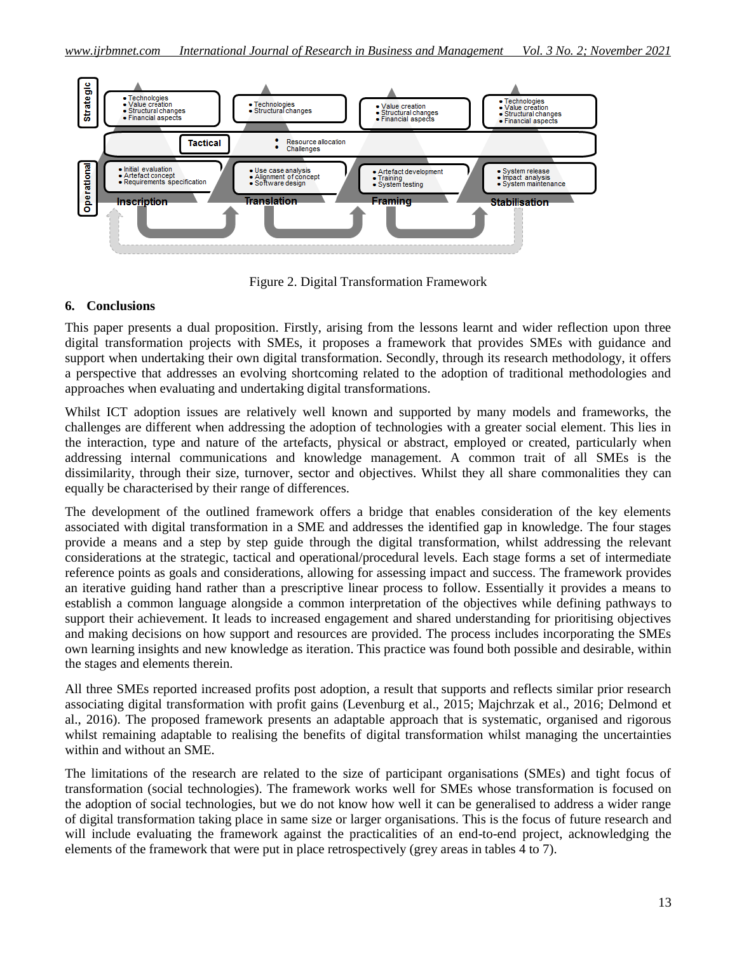

Figure 2. Digital Transformation Framework

# **6. Conclusions**

This paper presents a dual proposition. Firstly, arising from the lessons learnt and wider reflection upon three digital transformation projects with SMEs, it proposes a framework that provides SMEs with guidance and support when undertaking their own digital transformation. Secondly, through its research methodology, it offers a perspective that addresses an evolving shortcoming related to the adoption of traditional methodologies and approaches when evaluating and undertaking digital transformations.

Whilst ICT adoption issues are relatively well known and supported by many models and frameworks, the challenges are different when addressing the adoption of technologies with a greater social element. This lies in the interaction, type and nature of the artefacts, physical or abstract, employed or created, particularly when addressing internal communications and knowledge management. A common trait of all SMEs is the dissimilarity, through their size, turnover, sector and objectives. Whilst they all share commonalities they can equally be characterised by their range of differences.

The development of the outlined framework offers a bridge that enables consideration of the key elements associated with digital transformation in a SME and addresses the identified gap in knowledge. The four stages provide a means and a step by step guide through the digital transformation, whilst addressing the relevant considerations at the strategic, tactical and operational/procedural levels. Each stage forms a set of intermediate reference points as goals and considerations, allowing for assessing impact and success. The framework provides an iterative guiding hand rather than a prescriptive linear process to follow. Essentially it provides a means to establish a common language alongside a common interpretation of the objectives while defining pathways to support their achievement. It leads to increased engagement and shared understanding for prioritising objectives and making decisions on how support and resources are provided. The process includes incorporating the SMEs own learning insights and new knowledge as iteration. This practice was found both possible and desirable, within the stages and elements therein.

All three SMEs reported increased profits post adoption, a result that supports and reflects similar prior research associating digital transformation with profit gains (Levenburg et al., 2015; Majchrzak et al., 2016; Delmond et al., 2016). The proposed framework presents an adaptable approach that is systematic, organised and rigorous whilst remaining adaptable to realising the benefits of digital transformation whilst managing the uncertainties within and without an SME.

The limitations of the research are related to the size of participant organisations (SMEs) and tight focus of transformation (social technologies). The framework works well for SMEs whose transformation is focused on the adoption of social technologies, but we do not know how well it can be generalised to address a wider range of digital transformation taking place in same size or larger organisations. This is the focus of future research and will include evaluating the framework against the practicalities of an end-to-end project, acknowledging the elements of the framework that were put in place retrospectively (grey areas in tables 4 to 7).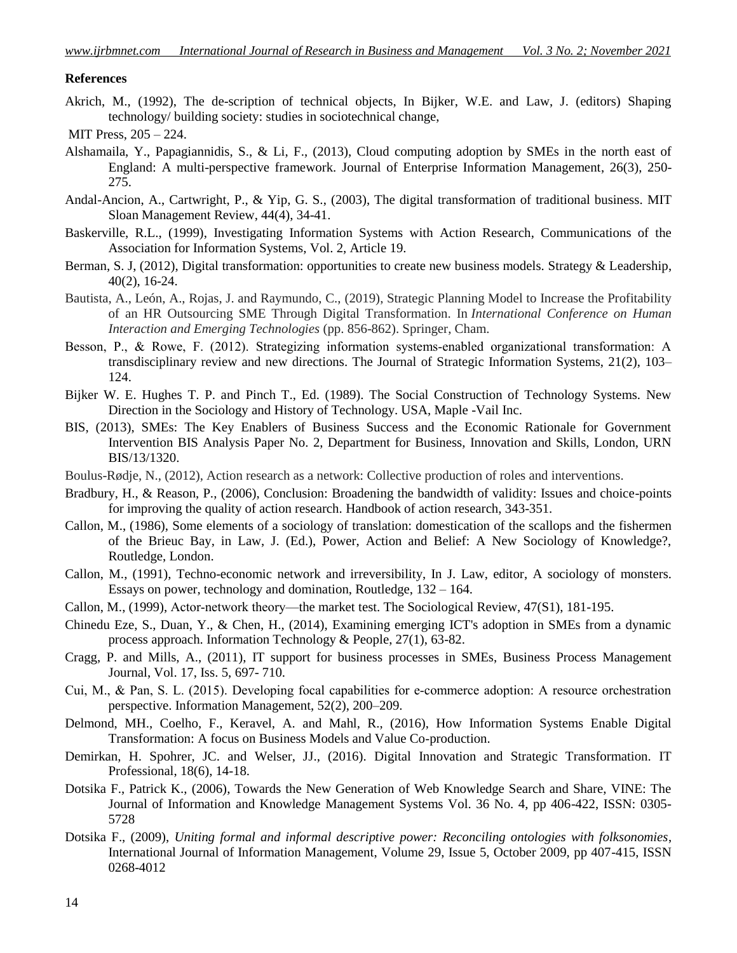#### **References**

Akrich, M., (1992), The de-scription of technical objects, In Bijker, W.E. and Law, J. (editors) Shaping technology/ building society: studies in sociotechnical change,

- Alshamaila, Y., Papagiannidis, S., & Li, F., (2013), Cloud computing adoption by SMEs in the north east of England: A multi-perspective framework. Journal of Enterprise Information Management, 26(3), 250- 275.
- Andal-Ancion, A., Cartwright, P., & Yip, G. S., (2003), The digital transformation of traditional business. MIT Sloan Management Review, 44(4), 34-41.
- Baskerville, R.L., (1999), Investigating Information Systems with Action Research, Communications of the Association for Information Systems, Vol. 2, Article 19.
- Berman, S. J. (2012), Digital transformation: opportunities to create new business models. Strategy & Leadership, 40(2), 16-24.
- Bautista, A., León, A., Rojas, J. and Raymundo, C., (2019), Strategic Planning Model to Increase the Profitability of an HR Outsourcing SME Through Digital Transformation. In *International Conference on Human Interaction and Emerging Technologies* (pp. 856-862). Springer, Cham.
- Besson, P., & Rowe, F. (2012). Strategizing information systems-enabled organizational transformation: A transdisciplinary review and new directions. The Journal of Strategic Information Systems, 21(2), 103– 124.
- Bijker W. E. Hughes T. P. and Pinch T., Ed. (1989). The Social Construction of Technology Systems. New Direction in the Sociology and History of Technology. USA, Maple -Vail Inc.
- BIS, (2013), SMEs: The Key Enablers of Business Success and the Economic Rationale for Government Intervention BIS Analysis Paper No. 2, Department for Business, Innovation and Skills, London, URN BIS/13/1320.
- Boulus-Rødje, N., (2012), Action research as a network: Collective production of roles and interventions.
- Bradbury, H., & Reason, P., (2006), Conclusion: Broadening the bandwidth of validity: Issues and choice-points for improving the quality of action research. Handbook of action research, 343-351.
- Callon, M., (1986), Some elements of a sociology of translation: domestication of the scallops and the fishermen of the Brieuc Bay, in Law, J. (Ed.), Power, Action and Belief: A New Sociology of Knowledge?, Routledge, London.
- Callon, M., (1991), Techno-economic network and irreversibility, In J. Law, editor, A sociology of monsters. Essays on power, technology and domination, Routledge, 132 – 164.
- Callon, M., (1999), Actor-network theory—the market test. The Sociological Review, 47(S1), 181-195.
- Chinedu Eze, S., Duan, Y., & Chen, H., (2014), Examining emerging ICT's adoption in SMEs from a dynamic process approach. Information Technology & People, 27(1), 63-82.
- Cragg, P. and Mills, A., (2011), IT support for business processes in SMEs, Business Process Management Journal, Vol. 17, Iss. 5, 697- 710.
- Cui, M., & Pan, S. L. (2015). Developing focal capabilities for e‐commerce adoption: A resource orchestration perspective. Information Management, 52(2), 200–209.
- Delmond, MH., Coelho, F., Keravel, A. and Mahl, R., (2016), How Information Systems Enable Digital Transformation: A focus on Business Models and Value Co‐production.
- Demirkan, H. Spohrer, JC. and Welser, JJ., (2016). Digital Innovation and Strategic Transformation. IT Professional, 18(6), 14-18.
- Dotsika F., Patrick K., (2006), Towards the New Generation of Web Knowledge Search and Share, VINE: The Journal of Information and Knowledge Management Systems Vol. 36 No. 4, pp 406-422, ISSN: 0305- 5728
- Dotsika F., (2009), *Uniting formal and informal descriptive power: Reconciling ontologies with folksonomies*, International Journal of Information Management, Volume 29, Issue 5, October 2009, pp 407-415, ISSN 0268-4012

MIT Press, 205 – 224.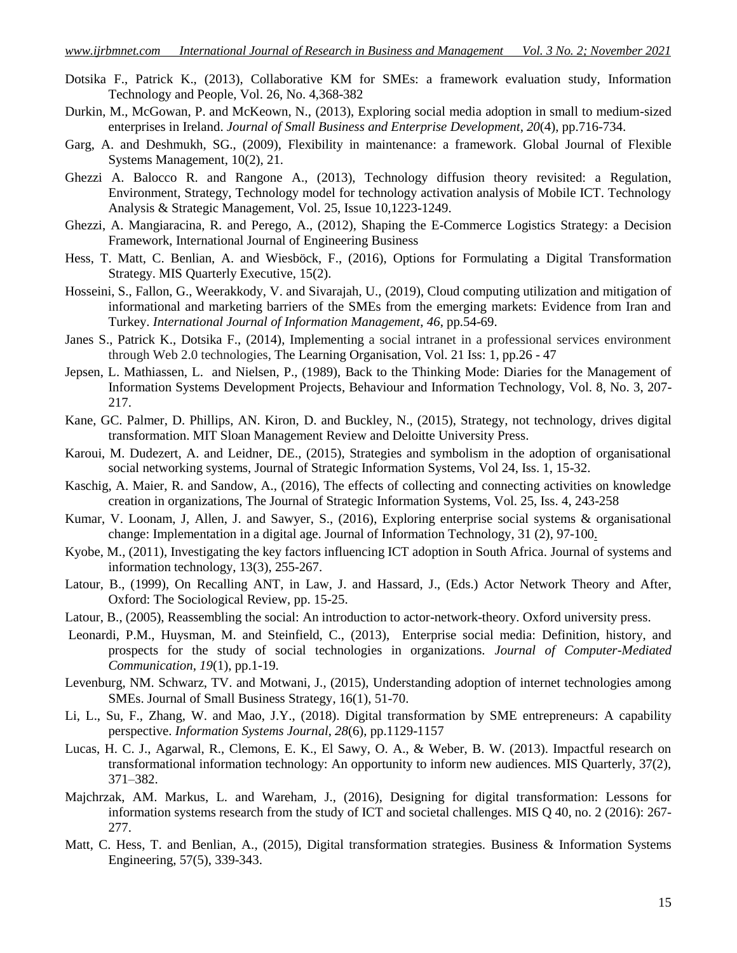- Dotsika F., Patrick K., (2013), Collaborative KM for SMEs: a framework evaluation study, Information Technology and People, Vol. 26, No. 4,368-382
- Durkin, M., McGowan, P. and McKeown, N., (2013), Exploring social media adoption in small to medium-sized enterprises in Ireland. *Journal of Small Business and Enterprise Development*, *20*(4), pp.716-734.
- Garg, A. and Deshmukh, SG., (2009), Flexibility in maintenance: a framework. Global Journal of Flexible Systems Management, 10(2), 21.
- Ghezzi A. Balocco R. and Rangone A., (2013), Technology diffusion theory revisited: a Regulation, Environment, Strategy, Technology model for technology activation analysis of Mobile ICT. Technology Analysis & Strategic Management, Vol. 25, Issue 10,1223-1249.
- Ghezzi, A. Mangiaracina, R. and Perego, A., (2012), Shaping the E-Commerce Logistics Strategy: a Decision Framework, International Journal of Engineering Business
- Hess, T. Matt, C. Benlian, A. and Wiesböck, F., (2016), Options for Formulating a Digital Transformation Strategy. MIS Quarterly Executive, 15(2).
- Hosseini, S., Fallon, G., Weerakkody, V. and Sivarajah, U., (2019), Cloud computing utilization and mitigation of informational and marketing barriers of the SMEs from the emerging markets: Evidence from Iran and Turkey. *International Journal of Information Management*, *46*, pp.54-69.
- Janes S., Patrick K., Dotsika F., (2014), Implementing a social intranet in a professional services environment through Web 2.0 technologies, The Learning Organisation, Vol. 21 Iss: 1, pp.26 - 47
- Jepsen, L. Mathiassen, L. and Nielsen, P., (1989), Back to the Thinking Mode: Diaries for the Management of Information Systems Development Projects, Behaviour and Information Technology, Vol. 8, No. 3, 207- 217.
- Kane, GC. Palmer, D. Phillips, AN. Kiron, D. and Buckley, N., (2015), Strategy, not technology, drives digital transformation. MIT Sloan Management Review and Deloitte University Press.
- Karoui, M. Dudezert, A. and Leidner, DE., (2015), Strategies and symbolism in the adoption of organisational social networking systems, Journal of Strategic Information Systems, Vol 24, Iss. 1, 15-32.
- Kaschig, A. Maier, R. and Sandow, A., (2016), The effects of collecting and connecting activities on knowledge creation in organizations, The Journal of Strategic Information Systems, Vol. 25, Iss. 4, 243-258
- Kumar, V. Loonam, J, Allen, J. and Sawyer, S., (2016), Exploring enterprise social systems & organisational change: Implementation in a digital age. Journal of Information Technology, 31 (2), 97-100.
- Kyobe, M., (2011), Investigating the key factors influencing ICT adoption in South Africa. Journal of systems and information technology, 13(3), 255-267.
- Latour, B., (1999), On Recalling ANT, in Law, J. and Hassard, J., (Eds.) Actor Network Theory and After, Oxford: The Sociological Review, pp. 15-25.
- Latour, B., (2005), Reassembling the social: An introduction to actor-network-theory. Oxford university press.
- Leonardi, P.M., Huysman, M. and Steinfield, C., (2013), Enterprise social media: Definition, history, and prospects for the study of social technologies in organizations. *Journal of Computer-Mediated Communication*, *19*(1), pp.1-19.
- Levenburg, NM. Schwarz, TV. and Motwani, J., (2015), Understanding adoption of internet technologies among SMEs. Journal of Small Business Strategy, 16(1), 51-70.
- Li, L., Su, F., Zhang, W. and Mao, J.Y., (2018). Digital transformation by SME entrepreneurs: A capability perspective. *Information Systems Journal*, *28*(6), pp.1129-1157
- Lucas, H. C. J., Agarwal, R., Clemons, E. K., El Sawy, O. A., & Weber, B. W. (2013). Impactful research on transformational information technology: An opportunity to inform new audiences. MIS Quarterly, 37(2), 371–382.
- Majchrzak, AM. Markus, L. and Wareham, J., (2016), Designing for digital transformation: Lessons for information systems research from the study of ICT and societal challenges. MIS Q 40, no. 2 (2016): 267- 277.
- Matt, C. Hess, T. and Benlian, A., (2015), Digital transformation strategies. Business & Information Systems Engineering, 57(5), 339-343.